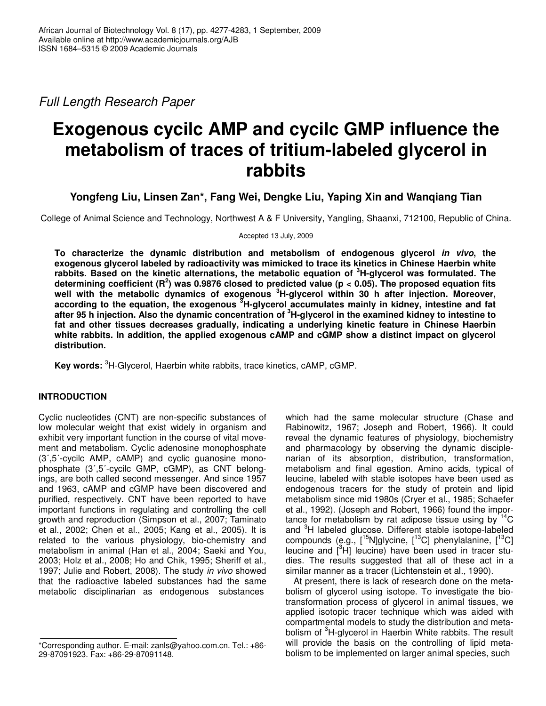*Full Length Research Paper*

# **Exogenous cycilc AMP and cycilc GMP influence the metabolism of traces of tritium-labeled glycerol in rabbits**

**Yongfeng Liu, Linsen Zan\*, Fang Wei, Dengke Liu, Yaping Xin and Wanqiang Tian**

College of Animal Science and Technology, Northwest A & F University, Yangling, Shaanxi, 712100, Republic of China.

Accepted 13 July, 2009

**To characterize the dynamic distribution and metabolism of endogenous glycerol** *in vivo***, the exogenous glycerol labeled by radioactivity was mimicked to trace its kinetics in Chinese Haerbin white rabbits. Based on the kinetic alternations, the metabolic equation of <sup>3</sup>H-glycerol was formulated. The** determining coefficient (R<sup>2</sup>) was 0.9876 closed to predicted value (p < 0.05). The proposed equation fits **well with the metabolic dynamics of exogenous <sup>3</sup>H-glycerol within 30 h after injection. Moreover, according to the equation, the exogenous <sup>3</sup>H-glycerol accumulates mainly in kidney, intestine and fat** after 95 h injection. Also the dynamic concentration of <sup>3</sup>H-glycerol in the examined kidney to intestine to **fat and other tissues decreases gradually, indicating a underlying kinetic feature in Chinese Haerbin white rabbits. In addition, the applied exogenous cAMP and cGMP show a distinct impact on glycerol distribution.**

**Key words:** <sup>3</sup>H-Glycerol, Haerbin white rabbits, trace kinetics, cAMP, cGMP.

# **INTRODUCTION**

Cyclic nucleotides (CNT) are non-specific substances of low molecular weight that exist widely in organism and exhibit very important function in the course of vital movement and metabolism. Cyclic adenosine monophosphate (3,5-cycilc AMP, cAMP) and cyclic guanosine monophosphate (3',5'-cycilc GMP, cGMP), as CNT belongings, are both called second messenger. And since 1957 and 1963, cAMP and cGMP have been discovered and purified, respectively. CNT have been reported to have important functions in regulating and controlling the cell growth and reproduction (Simpson et al., 2007; Taminato et al., 2002; Chen et al., 2005; Kang et al., 2005). It is related to the various physiology, bio-chemistry and metabolism in animal (Han et al., 2004; Saeki and You, 2003; Holz et al., 2008; Ho and Chik, 1995; Sheriff et al., 1997; Julie and Robert, 2008). The study *in vivo* showed that the radioactive labeled substances had the same metabolic disciplinarian as endogenous substances

which had the same molecular structure (Chase and Rabinowitz, 1967; Joseph and Robert, 1966). It could reveal the dynamic features of physiology, biochemistry and pharmacology by observing the dynamic disciplenarian of its absorption, distribution, transformation, metabolism and final egestion. Amino acids, typical of leucine, labeled with stable isotopes have been used as endogenous tracers for the study of protein and lipid metabolism since mid 1980s (Cryer et al., 1985; Schaefer et al., 1992). (Joseph and Robert, 1966) found the importance for metabolism by rat adipose tissue using by <sup>14</sup>C and <sup>3</sup>H labeled glucose. Different stable isotope-labeled compounds (e.g., [<sup>15</sup>N]glycine, [<sup>13</sup>C] phenylalanine, [<sup>13</sup>C] leucine and [<sup>3</sup>H] leucine) have been used in tracer studies. The results suggested that all of these act in a similar manner as a tracer (Lichtenstein et al., 1990).

At present, there is lack of research done on the metabolism of glycerol using isotope. To investigate the biotransformation process of glycerol in animal tissues, we applied isotopic tracer technique which was aided with compartmental models to study the distribution and metabolism of <sup>3</sup>H-glycerol in Haerbin White rabbits. The result will provide the basis on the controlling of lipid metabolism to be implemented on larger animal species, such

<sup>\*</sup>Corresponding author. E-mail: zanls@yahoo.com.cn. Tel.: +86- 29-87091923. Fax: +86-29-87091148.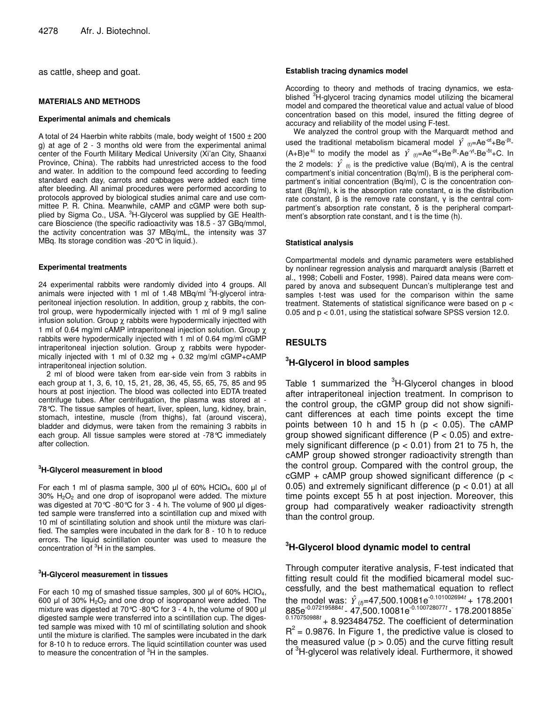as cattle, sheep and goat.

#### **MATERIALS AND METHODS**

#### **Experimental animals and chemicals**

A total of 24 Haerbin white rabbits (male, body weight of  $1500 \pm 200$ g) at age of 2 - 3 months old were from the experimental animal center of the Fourth Military Medical University (Xi'an City, Shaanxi Province, China). The rabbits had unrestricted access to the food and water. In addition to the compound feed according to feeding standard each day, carrots and cabbages were added each time after bleeding. All animal procedures were performed according to protocols approved by biological studies animal care and use committee P. R. China. Meanwhile, cAMP and cGMP were both supplied by Sigma Co., USA. <sup>3</sup>H-Glycerol was supplied by GE Healthcare Bioscience (the specific radioactivity was 18.5 - 37 GBq/mmol, the activity concentration was 37 MBq/mL, the intensity was 37 MBq. Its storage condition was -20°C in liquid.).

#### **Experimental treatments**

24 experimental rabbits were randomly divided into 4 groups. All animals were injected with 1 ml of 1.48 MBq/ml <sup>3</sup>H-glycerol intraperitoneal injection resolution. In addition, group  $\chi$  rabbits, the control group, were hypodermically injected with 1 ml of 9 mg/l saline infusion solution. Group  $\chi$  rabbits were hypodermically injectted with 1 ml of 0.64 mg/ml cAMP intraperitoneal injection solution. Group χ rabbits were hypodermically injected with 1 ml of 0.64 mg/ml cGMP intraperitoneal injection solution. Group  $\chi$  rabbits were hypodermically injected with 1 ml of 0.32 mg  $+$  0.32 mg/ml cGMP+cAMP intraperitoneal injection solution.

2 ml of blood were taken from ear-side vein from 3 rabbits in each group at 1, 3, 6, 10, 15, 21, 28, 36, 45, 55, 65, 75, 85 and 95 hours at post injection. The blood was collected into EDTA treated centrifuge tubes. After centrifugation, the plasma was stored at - 78°C. The tissue samples of heart, liver, spleen, lung, kidney, brain, stomach, intestine, muscle (from thighs), fat (around viscera), bladder and didymus, were taken from the remaining 3 rabbits in each group. All tissue samples were stored at -78°C immediately after collection.

#### **<sup>3</sup>H-Glycerol measurement in blood**

For each 1 ml of plasma sample, 300 µl of 60% HClO<sub>4</sub>, 600 µl of 30% H2O<sup>2</sup> and one drop of isopropanol were added. The mixture was digested at 70℃ -80℃ for 3 - 4 h. The volume of 900 µl digested sample were transferred into a scintillation cup and mixed with 10 ml of scintillating solution and shook until the mixture was clarified. The samples were incubated in the dark for 8 - 10 h to reduce errors. The liquid scintillation counter was used to measure the concentration of <sup>3</sup>H in the samples.

#### **<sup>3</sup>H-Glycerol measurement in tissues**

For each 10 mg of smashed tissue samples, 300  $\mu$ l of 60% HClO<sub>4</sub>, 600  $\mu$ l of 30% H<sub>2</sub>O<sub>2</sub> and one drop of isopropanol were added. The mixture was digested at 70°C -80°C for 3 - 4 h, the volume of 900 µl digested sample were transferred into a scintillation cup. The digested sample was mixed with 10 ml of scintillating solution and shook until the mixture is clarified. The samples were incubated in the dark for 8-10 h to reduce errors. The liquid scintillation counter was used to measure the concentration of <sup>3</sup>H in the samples.

#### **Establish tracing dynamics model**

According to theory and methods of tracing dynamics, we established <sup>3</sup>H-glycerol tracing dynamics model utilizing the bicameral model and compared the theoretical value and actual value of blood concentration based on this model, insured the fitting degree of accuracy and reliability of the model using F-test.

We analyzed the control group with the Marquardt method and used the traditional metabolism bicameral model  $\hat{Y}$  <sub>(t)</sub>=Ae<sup>-at</sup>+Be<sup>-βt</sup>- $(A+B)e^{-kt}$  to modify the model as  $\hat{Y}$  <sub>(t)</sub>=Ae<sup>-at</sup>+Be<sup>-βt</sup>-Ae<sup>-γt</sup>-Be<sup>-δt</sup>+C. In the 2 models:  $\hat{Y}$  <sub>(t)</sub> is the predictive value (Bq/ml), A is the central compartment's initial concentration (Bq/ml), B is the peripheral compartment's initial concentration (Bq/ml), C is the concentration constant (Bq/ml), k is the absorption rate constant,  $\alpha$  is the distribution rate constant,  $\beta$  is the remove rate constant,  $\gamma$  is the central compartment's absorption rate constant,  $\delta$  is the peripheral compartment's absorption rate constant, and t is the time (h).

#### **Statistical analysis**

Compartmental models and dynamic parameters were established by nonlinear regression analysis and marquardt analysis (Barrett et al., 1998; Cobelli and Foster, 1998). Paired data means were compared by anova and subsequent Duncan's multiplerange test and samples t-test was used for the comparison within the same treatment. Statements of statistical significance were based on p < 0.05 and p < 0.01, using the statistical sofware SPSS version 12.0.

## **RESULTS**

## **<sup>3</sup>H-Glycerol in blood samples**

Table 1 summarized the <sup>3</sup>H-Glycerol changes in blood after intraperitoneal injection treatment. In comprison to the control group, the cGMP group did not show significant differences at each time points except the time points between 10 h and 15 h ( $p < 0.05$ ). The cAMP group showed significant difference  $(P < 0.05)$  and extremely significant difference ( $p < 0.01$ ) from 21 to 75 h, the cAMP group showed stronger radioactivity strength than the control group. Compared with the control group, the  $cGMP + cAMP$  group showed significant difference (p < 0.05) and extremely significant difference ( $p < 0.01$ ) at all time points except 55 h at post injection. Moreover, this group had comparatively weaker radioactivity strength than the control group.

## **<sup>3</sup>H-Glycerol blood dynamic model to central**

Through computer iterative analysis, F-test indicated that fitting result could fit the modified bicameral model successfully, and the best mathematical equation to reflect the model was:  $\hat{Y}_{(t)} = 47,500.10081e^{-0.101002694t} + 178.2001$ 885e<sup>-0.072195884*t* - 47,500.10081e<sup>-0.100728077*t* - 178.2001885e<sup>-</sup></sup></sup> 0.170750988*t* + 8.923484752. The coefficient of determination  $R^2$  = 0.9876. In Figure 1, the predictive value is closed to the measured value ( $p > 0.05$ ) and the curve fitting result of <sup>3</sup>H-glycerol was relatively ideal. Furthermore, it showed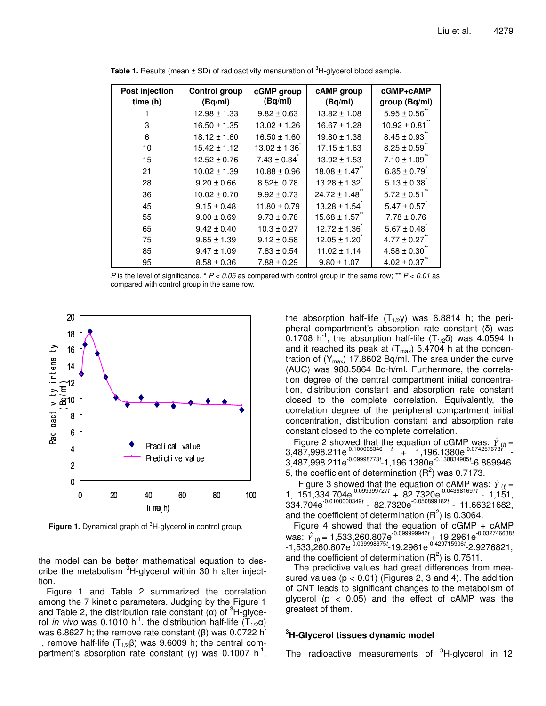| Post injection | <b>Control group</b> | cGMP group       | cAMP group       | cGMP+cAMP        |
|----------------|----------------------|------------------|------------------|------------------|
| time (h)       | (Bq/ml)              | (Bq/ml)          | (Bq/ml)          | group (Bq/ml)    |
|                | $12.98 \pm 1.33$     | $9.82 \pm 0.63$  | $13.82 \pm 1.08$ | $5.95 \pm 0.56$  |
| 3              | $16.50 \pm 1.35$     | $13.02 \pm 1.26$ | $16.67 \pm 1.28$ | $10.92 \pm 0.81$ |
| 6              | $18.12 \pm 1.60$     | $16.50 \pm 1.60$ | $19.80 \pm 1.38$ | $8.45 \pm 0.93$  |
| 10             | $15.42 \pm 1.12$     | $13.02 \pm 1.36$ | $17.15 \pm 1.63$ | $8.25 \pm 0.59$  |
| 15             | $12.52 \pm 0.76$     | $7.43 \pm 0.34$  | $13.92 \pm 1.53$ | $7.10 \pm 1.09$  |
| 21             | $10.02 \pm 1.39$     | $10.88 \pm 0.96$ | $18.08 \pm 1.47$ | $6.85 \pm 0.79$  |
| 28             | $9.20 \pm 0.66$      | $8.52 \pm 0.78$  | $13.28 \pm 1.32$ | $5.13 \pm 0.38$  |
| 36             | $10.02 \pm 0.70$     | $9.92 \pm 0.73$  | $24.72 \pm 1.48$ | $5.72 \pm 0.51$  |
| 45             | $9.15 \pm 0.48$      | $11.80 \pm 0.79$ | $13.28 \pm 1.54$ | $5.47 \pm 0.57$  |
| 55             | $9.00 \pm 0.69$      | $9.73 \pm 0.78$  | $15.68 \pm 1.57$ | $7.78 \pm 0.76$  |
| 65             | $9.42 \pm 0.40$      | $10.3 \pm 0.27$  | $12.72 \pm 1.36$ | $5.67 \pm 0.48$  |
| 75             | $9.65 \pm 1.39$      | $9.12 \pm 0.58$  | $12.05 \pm 1.20$ | $4.77 \pm 0.27$  |
| 85             | $9.47 \pm 1.09$      | $7.83 \pm 0.54$  | $11.02 \pm 1.14$ | $4.58 \pm 0.30$  |
| 95             | $8.58 \pm 0.36$      | $7.88 \pm 0.29$  | $9.80 \pm 1.07$  | $4.02 \pm 0.37$  |

**Table 1.** Results (mean ± SD) of radioactivity mensuration of <sup>3</sup>H-glycerol blood sample.

*P* is the level of significance. \* *P < 0.05* as compared with control group in the same row; \*\* *P < 0.01* as compared with control group in the same row.



**Figure 1.** Dynamical graph of <sup>3</sup>H-glycerol in control group.

the model can be better mathematical equation to describe the metabolism <sup>3</sup>H-glycerol within 30 h after injecttion.

Figure 1 and Table 2 summarized the correlation among the 7 kinetic parameters. Judging by the Figure 1 and Table 2, the distribution rate constant ( $\alpha$ ) of <sup>3</sup>H-glycerol *in vivo* was 0.1010 h<sup>-1</sup>, the distribution half-life  $(T_{1/2}\alpha)$ was 6.8627 h; the remove rate constant ( $\beta$ ) was 0.0722 h<sup>-</sup> <sup>1</sup>, remove half-life ( $T_{1/2}\beta$ ) was 9.6009 h; the central compartment's absorption rate constant (y) was 0.1007 h<sup>-1</sup>,

the absorption half-life  $(T_{1/2}Y)$  was 6.8814 h; the peripheral compartment's absorption rate constant  $(\delta)$  was  $0.1708$  h<sup>-1</sup>, the absorption half-life (T<sub>1/2</sub> $\delta$ ) was 4.0594 h and it reached its peak at  $(T_{max})$  5.4704 h at the concentration of  $(Y_{max})$  17.8602 Bq/ml. The area under the curve (AUC) was 988.5864 Bq·h/ml. Furthermore, the correlation degree of the central compartment initial concentration, distribution constant and absorption rate constant closed to the complete correlation. Equivalently, the correlation degree of the peripheral compartment initial concentration, distribution constant and absorption rate constant closed to the complete correlation.

Figure 2 showed that the equation of cGMP was:  $\hat{Y}_{\text{eff}} =$ 3,487,998.211e -0.100008346 *t* + 1,196.1380e -0.074257678*t* - 3,487,998.211e -0.09998773*t* -1,196.1380e -0.138834905*t* -6.889946 5, the coefficient of determination  $(R^2)$  was 0.7173.

Figure 3 showed that the equation of cAMP was:  $\hat{Y}_{(t)} =$ 1, 151,334.704e -0.099999727*t* + 82.7320e -0.043981697*t* - 1,151, 334.704e -0.0100000349*t* - 82.7320e -0.050899182*t* - 11.66321682, and the coefficient of determination  $(R^2)$  is 0.3064.

Figure 4 showed that the equation of  $cGMP + cAMP$ was:  $\hat{Y}_{(t)}$  = 1,533,<u>260.807</u>e<sup>-0.099999942 $t$  + 19.2961e<sup>-0.032746638</sup> $t$ </sup> -1,533,260.807e -0.099998375*t* -19.2961e -0.429715906*t* -2.9276821, and the coefficient of determination  $(R^2)$  is 0.7511.

The predictive values had great differences from measured values  $(p < 0.01)$  (Figures 2, 3 and 4). The addition of CNT leads to significant changes to the metabolism of glycerol ( $p < 0.05$ ) and the effect of cAMP was the greatest of them.

## **<sup>3</sup>H-Glycerol tissues dynamic model**

The radioactive measurements of <sup>3</sup>H-glycerol in 12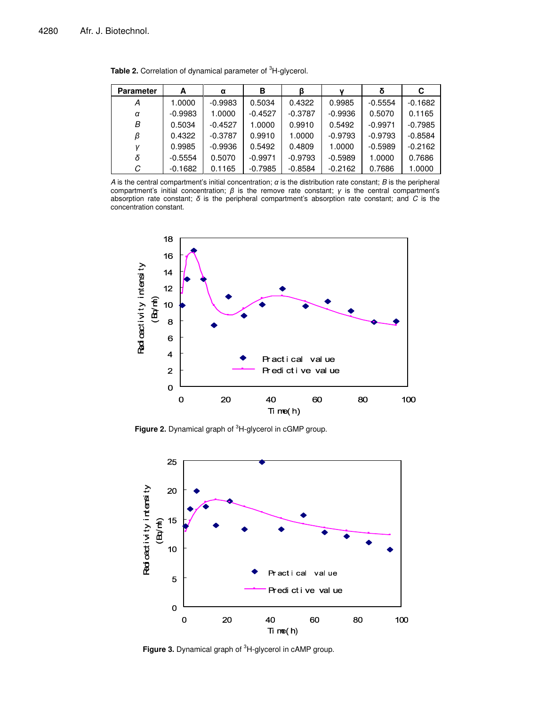| <b>Parameter</b> | А         | α         | в         | ß         | v         |           | С         |
|------------------|-----------|-----------|-----------|-----------|-----------|-----------|-----------|
| А                | 1.0000    | $-0.9983$ | 0.5034    | 0.4322    | 0.9985    | $-0.5554$ | $-0.1682$ |
| α                | $-0.9983$ | 1.0000    | $-0.4527$ | $-0.3787$ | $-0.9936$ | 0.5070    | 0.1165    |
| В                | 0.5034    | $-0.4527$ | 1.0000    | 0.9910    | 0.5492    | $-0.9971$ | $-0.7985$ |
| ß                | 0.4322    | $-0.3787$ | 0.9910    | 1.0000    | $-0.9793$ | $-0.9793$ | $-0.8584$ |
|                  | 0.9985    | $-0.9936$ | 0.5492    | 0.4809    | 1.0000    | $-0.5989$ | $-0.2162$ |
| δ                | $-0.5554$ | 0.5070    | $-0.9971$ | $-0.9793$ | $-0.5989$ | 1.0000    | 0.7686    |
| С                | $-0.1682$ | 0.1165    | $-0.7985$ | $-0.8584$ | $-0.2162$ | 0.7686    | 1.0000    |

**Table 2.** Correlation of dynamical parameter of <sup>3</sup>H-glycerol.

*A* is the central compartment's initial concentration;  $\alpha$  is the distribution rate constant; *B* is the peripheral compartment's initial concentration;  $\beta$  is the remove rate constant;  $\gamma$  is the central compartment's absorption rate constant;  $\delta$  is the peripheral compartment's absorption rate constant; and  $C$  is the concentration constant.



**Figure 2.** Dynamical graph of <sup>3</sup>H-glycerol in cGMP group.



**Figure 3.** Dynamical graph of <sup>3</sup>H-glycerol in cAMP group.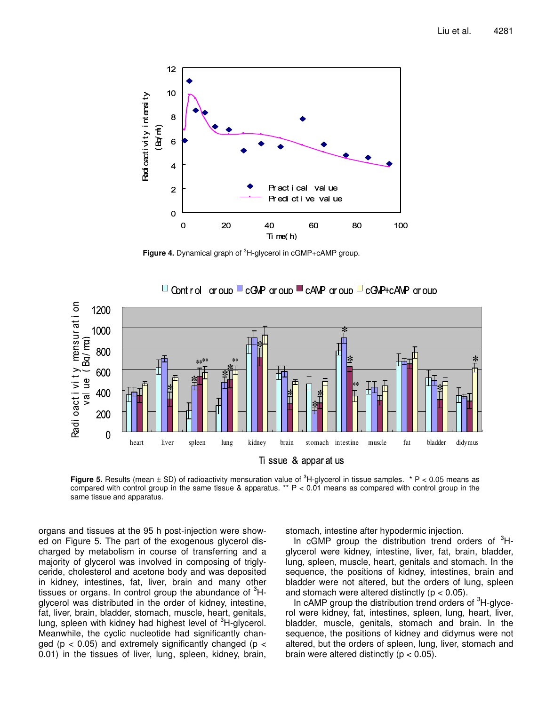

**Figure 4.** Dynamical graph of <sup>3</sup>H-glycerol in cGMP+cAMP group.



 $\Box$  Control aroup  $\Box$  cGMP aroup  $\Box$  cAMP aroup  $\Box$  cGMP+cAMP aroup

**Figure 5.** Results (mean ± SD) of radioactivity mensuration value of <sup>3</sup>H-glycerol in tissue samples. \* P < 0.05 means as compared with control group in the same tissue & apparatus. \*\*  $P < 0.01$  means as compared with control group in the same tissue and apparatus.

organs and tissues at the 95 h post-injection were showed on Figure 5. The part of the exogenous glycerol discharged by metabolism in course of transferring and a majority of glycerol was involved in composing of triglyceride, cholesterol and acetone body and was deposited in kidney, intestines, fat, liver, brain and many other tissues or organs. In control group the abundance of <sup>3</sup>Hglycerol was distributed in the order of kidney, intestine, fat, liver, brain, bladder, stomach, muscle, heart, genitals, lung, spleen with kidney had highest level of <sup>3</sup>H-glycerol. Meanwhile, the cyclic nucleotide had significantly changed ( $p < 0.05$ ) and extremely significantly changed ( $p <$ 0.01) in the tissues of liver, lung, spleen, kidney, brain, stomach, intestine after hypodermic injection.

In cGMP group the distribution trend orders of  ${}^{3}$ Hglycerol were kidney, intestine, liver, fat, brain, bladder, lung, spleen, muscle, heart, genitals and stomach. In the sequence, the positions of kidney, intestines, brain and bladder were not altered, but the orders of lung, spleen and stomach were altered distinctly ( $p < 0.05$ ).

In cAMP group the distribution trend orders of <sup>3</sup>H-glycerol were kidney, fat, intestines, spleen, lung, heart, liver, bladder, muscle, genitals, stomach and brain. In the sequence, the positions of kidney and didymus were not altered, but the orders of spleen, lung, liver, stomach and brain were altered distinctly ( $p < 0.05$ ).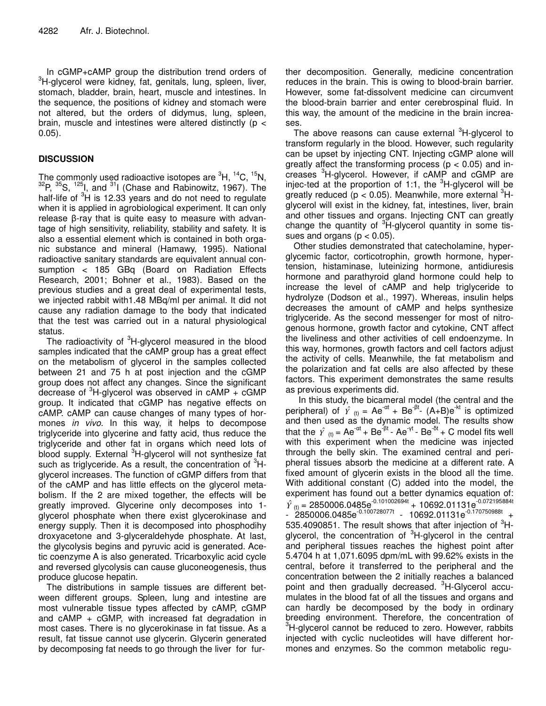In cGMP+cAMP group the distribution trend orders of <sup>3</sup>H-glycerol were kidney, fat, genitals, lung, spleen, liver, stomach, bladder, brain, heart, muscle and intestines. In the sequence, the positions of kidney and stomach were not altered, but the orders of didymus, lung, spleen, brain, muscle and intestines were altered distinctly (p < 0.05).

# **DISCUSSION**

The commonly used radioactive isotopes are  ${}^{3}$ H,  ${}^{14}$ C,  ${}^{15}$ N,  $^{32}$ P,  $^{35}$ S,  $^{125}$ I, and  $^{31}$ I (Chase and Rabinowitz, 1967). The half-life of <sup>3</sup>H is 12.33 years and do not need to regulate when it is applied in agrobiological experiment. It can only release  $\beta$ -ray that is quite easy to measure with advantage of high sensitivity, reliability, stability and safety. It is also a essential element which is contained in both organic substance and mineral (Hamawy, 1995). National radioactive sanitary standards are equivalent annual consumption < 185 GBq (Board on Radiation Effects Research, 2001; Bohner et al., 1983). Based on the previous studies and a great deal of experimental tests, we injected rabbit with1.48 MBq/ml per animal. It did not cause any radiation damage to the body that indicated that the test was carried out in a natural physiological status.

The radioactivity of <sup>3</sup>H-glycerol measured in the blood samples indicated that the cAMP group has a great effect on the metabolism of glycerol in the samples collected between 21 and 75 h at post injection and the cGMP group does not affect any changes. Since the significant decrease of <sup>3</sup>H-glycerol was observed in cAMP + cGMP group. It indicated that cGMP has negative effects on cAMP. cAMP can cause changes of many types of hormones *in vivo*. In this way, it helps to decompose triglyceride into glycerine and fatty acid, thus reduce the triglyceride and other fat in organs which need lots of blood supply. External <sup>3</sup>H-glycerol will not synthesize fat such as triglyceride. As a result, the concentration of <sup>3</sup>Hglycerol increases. The function of cGMP differs from that of the cAMP and has little effects on the glycerol metabolism. If the 2 are mixed together, the effects will be greatly improved. Glycerine only decomposes into 1 glycerol phosphate when there exist glycerokinase and energy supply. Then it is decomposed into phosphodihy droxyacetone and 3-glyceraldehyde phosphate. At last, the glycolysis begins and pyruvic acid is generated. Acetic coenzyme A is also generated. Tricarboxylic acid cycle and reversed glycolysis can cause gluconeogenesis, thus produce glucose hepatin.

The distributions in sample tissues are different between different groups. Spleen, lung and intestine are most vulnerable tissue types affected by cAMP, cGMP and  $cAMP + cGMP$ , with increased fat degradation in most cases. There is no glycerokinase in fat tissue. As a result, fat tissue cannot use glycerin. Glycerin generated by decomposing fat needs to go through the liver for further decomposition. Generally, medicine concentration reduces in the brain. This is owing to blood-brain barrier. However, some fat-dissolvent medicine can circumvent the blood-brain barrier and enter cerebrospinal fluid. In this way, the amount of the medicine in the brain increases.

The above reasons can cause external <sup>3</sup>H-glycerol to transform regularly in the blood. However, such regularity can be upset by injecting CNT. Injecting cGMP alone will greatly affect the transforming process ( $p < 0.05$ ) and increases <sup>3</sup>H-glycerol. However, if cAMP and cGMP are injec-ted at the proportion of 1:1, the <sup>3</sup>H-glycerol will be greatly reduced (p < 0.05). Meanwhile, more external  ${}^{3}$ Hglycerol will exist in the kidney, fat, intestines, liver, brain and other tissues and organs. Injecting CNT can greatly change the quantity of <sup>3</sup>H-glycerol quantity in some tissues and organs ( $p < 0.05$ ).

Other studies demonstrated that catecholamine, hyperglycemic factor, corticotrophin, growth hormone, hypertension, histaminase, luteinizing hormone, antidiuresis hormone and parathyroid gland hormone could help to increase the level of cAMP and help triglyceride to hydrolyze (Dodson et al., 1997). Whereas, insulin helps decreases the amount of cAMP and helps synthesize triglyceride. As the second messenger for most of nitrogenous hormone, growth factor and cytokine, CNT affect the liveliness and other activities of cell endoenzyme. In this way, hormones, growth factors and cell factors adjust the activity of cells. Meanwhile, the fat metabolism and the polarization and fat cells are also affected by these factors. This experiment demonstrates the same results as previous experiments did.

In this study, the bicameral model (the central and the peripheral) of  $\hat{Y}_{(t)} = Ae^{-\alpha t} + Be^{-\beta t}$ .  $(A+B)e^{-kt}$  is optimized and then used as the dynamic model. The results show that the  $\hat{Y}_{(t)} = Ae^{-\alpha t} + Be^{-\beta t}$  - Ae<sup>-yt</sup> - Be<sup>-5t</sup> + C model fits well with this experiment when the medicine was injected through the belly skin. The examined central and peripheral tissues absorb the medicine at a different rate. A fixed amount of glycerin exists in the blood all the time. With additional constant (C) added into the model, the experiment has found out a better dynamics equation of:  $\hat{Y}_{(t)} = 2850006.0485e^{-0.101002694t} + 10692.01131e^{-0.072195884t}$  $-$  2850006.0485e<sup>-0.100728077t</sup> - 10692.01131e<sup>-0.170750988t</sup> + 535.4090851. The result shows that after injection of  ${}^{3}$ Hglycerol, the concentration of <sup>3</sup>H-glycerol in the central and peripheral tissues reaches the highest point after 5.4704 h at 1,071.6095 dpm/mL with 99.62% exists in the central, before it transferred to the peripheral and the concentration between the 2 initially reaches a balanced point and then gradually decreased. <sup>3</sup>H-Glycerol accumulates in the blood fat of all the tissues and organs and can hardly be decomposed by the body in ordinary breeding environment. Therefore, the concentration of <sup>3</sup>H-glycerol cannot be reduced to zero. However, rabbits injected with cyclic nucleotides will have different hormones and enzymes. So the common metabolic regu